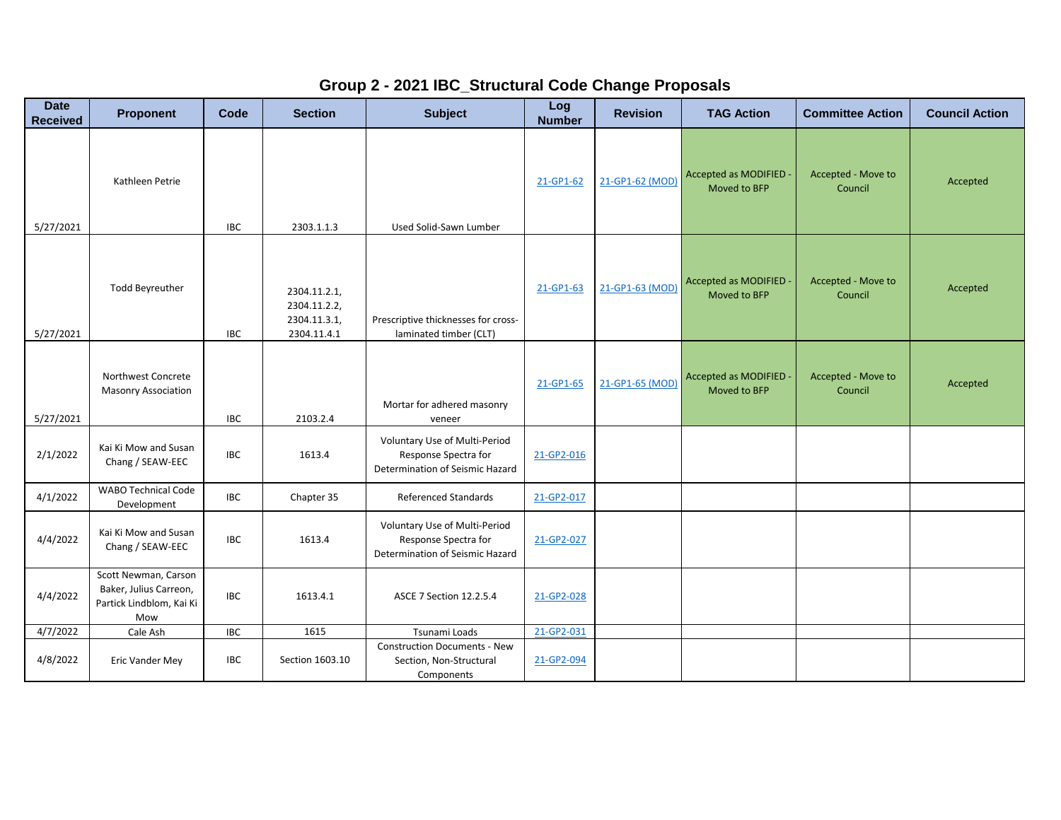## **Group 2 - 2021 IBC\_Structural Code Change Proposals**

| <b>Date</b><br><b>Received</b> | <b>Proponent</b>                                                                  | Code       | <b>Section</b>                                              | <b>Subject</b>                                                                           | Log<br><b>Number</b> | <b>Revision</b> | <b>TAG Action</b>                           | <b>Committee Action</b>       | <b>Council Action</b> |
|--------------------------------|-----------------------------------------------------------------------------------|------------|-------------------------------------------------------------|------------------------------------------------------------------------------------------|----------------------|-----------------|---------------------------------------------|-------------------------------|-----------------------|
| 5/27/2021                      | Kathleen Petrie                                                                   | <b>IBC</b> | 2303.1.1.3                                                  | Used Solid-Sawn Lumber                                                                   | 21-GP1-62            | 21-GP1-62 (MOD) | Accepted as MODIFIED<br>Moved to BFP        | Accepted - Move to<br>Council | Accepted              |
| 5/27/2021                      | <b>Todd Beyreuther</b>                                                            | <b>IBC</b> | 2304.11.2.1,<br>2304.11.2.2,<br>2304.11.3.1,<br>2304.11.4.1 | Prescriptive thicknesses for cross-<br>laminated timber (CLT)                            | 21-GP1-63            | 21-GP1-63 (MOD) | Accepted as MODIFIED<br>Moved to BFP        | Accepted - Move to<br>Council | Accepted              |
| 5/27/2021                      | Northwest Concrete<br><b>Masonry Association</b>                                  | <b>IBC</b> | 2103.2.4                                                    | Mortar for adhered masonry<br>veneer                                                     | 21-GP1-65            | 21-GP1-65 (MOD) | <b>Accepted as MODIFIED</b><br>Moved to BFP | Accepted - Move to<br>Council | Accepted              |
| 2/1/2022                       | Kai Ki Mow and Susan<br>Chang / SEAW-EEC                                          | <b>IBC</b> | 1613.4                                                      | Voluntary Use of Multi-Period<br>Response Spectra for<br>Determination of Seismic Hazard | 21-GP2-016           |                 |                                             |                               |                       |
| 4/1/2022                       | <b>WABO Technical Code</b><br>Development                                         | <b>IBC</b> | Chapter 35                                                  | <b>Referenced Standards</b>                                                              | 21-GP2-017           |                 |                                             |                               |                       |
| 4/4/2022                       | Kai Ki Mow and Susan<br>Chang / SEAW-EEC                                          | <b>IBC</b> | 1613.4                                                      | Voluntary Use of Multi-Period<br>Response Spectra for<br>Determination of Seismic Hazard | 21-GP2-027           |                 |                                             |                               |                       |
| 4/4/2022                       | Scott Newman, Carson<br>Baker, Julius Carreon,<br>Partick Lindblom, Kai Ki<br>Mow | <b>IBC</b> | 1613.4.1                                                    | ASCE 7 Section 12.2.5.4                                                                  | 21-GP2-028           |                 |                                             |                               |                       |
| 4/7/2022                       | Cale Ash                                                                          | <b>IBC</b> | 1615                                                        | Tsunami Loads                                                                            | 21-GP2-031           |                 |                                             |                               |                       |
| 4/8/2022                       | Eric Vander Mey                                                                   | <b>IBC</b> | Section 1603.10                                             | <b>Construction Documents - New</b><br>Section, Non-Structural<br>Components             | 21-GP2-094           |                 |                                             |                               |                       |